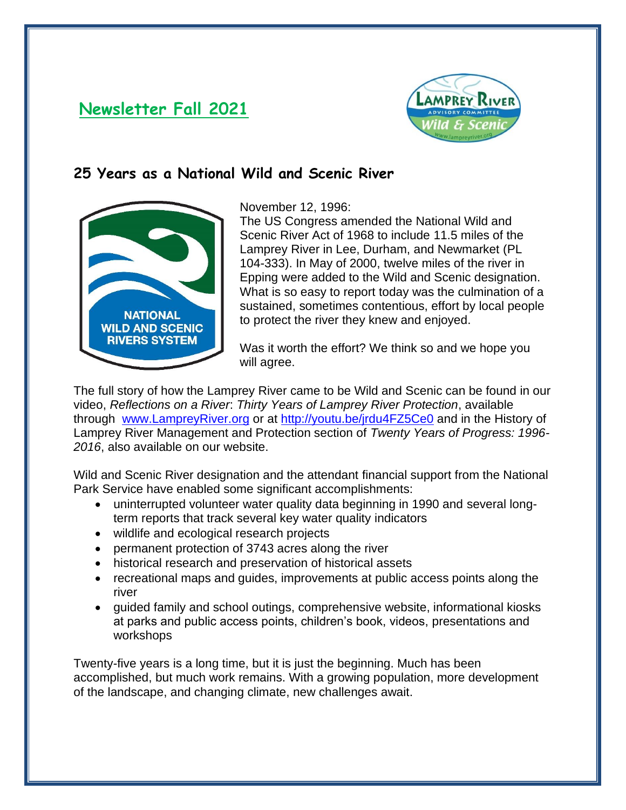# **Newsletter Fall 2021**



## **25 Years as a National Wild and Scenic River**



November 12, 1996:

The US Congress amended the National Wild and Scenic River Act of 1968 to include 11.5 miles of the Lamprey River in Lee, Durham, and Newmarket (PL 104-333). In May of 2000, twelve miles of the river in Epping were added to the Wild and Scenic designation. What is so easy to report today was the culmination of a sustained, sometimes contentious, effort by local people to protect the river they knew and enjoyed.

Was it worth the effort? We think so and we hope you will agree.

The full story of how the Lamprey River came to be Wild and Scenic can be found in our video, *Reflections on a River*: *Thirty Years of Lamprey River Protection*, available through [www.LampreyRiver.org](http://www.lampreyriver.org/) or at<http://youtu.be/jrdu4FZ5Ce0> and in the History of Lamprey River Management and Protection section of *Twenty Years of Progress: 1996- 2016*, also available on our website.

Wild and Scenic River designation and the attendant financial support from the National Park Service have enabled some significant accomplishments:

- uninterrupted volunteer water quality data beginning in 1990 and several longterm reports that track several key water quality indicators
- wildlife and ecological research projects
- permanent protection of 3743 acres along the river
- historical research and preservation of historical assets
- recreational maps and guides, improvements at public access points along the river
- guided family and school outings, comprehensive website, informational kiosks at parks and public access points, children's book, videos, presentations and workshops

Twenty-five years is a long time, but it is just the beginning. Much has been accomplished, but much work remains. With a growing population, more development of the landscape, and changing climate, new challenges await.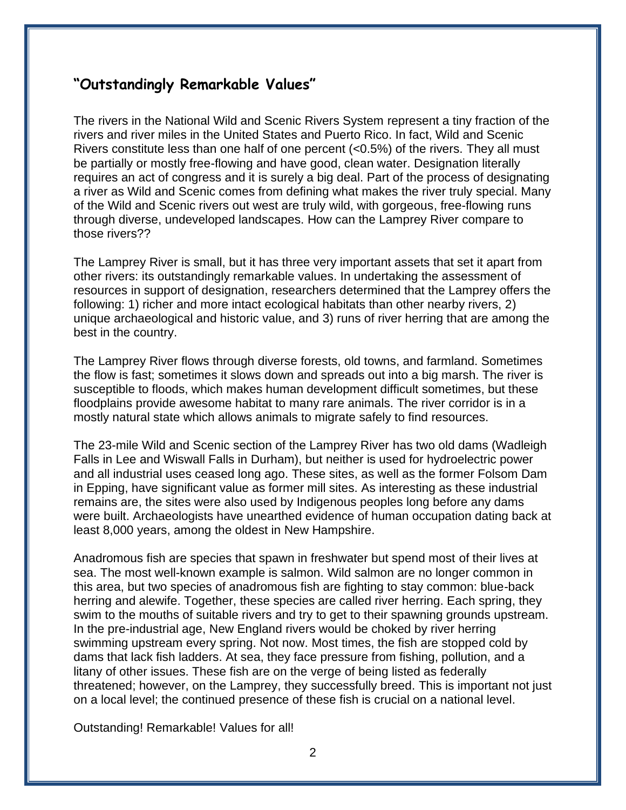#### **"Outstandingly Remarkable Values"**

The rivers in the National Wild and Scenic Rivers System represent a tiny fraction of the rivers and river miles in the United States and Puerto Rico. In fact, Wild and Scenic Rivers constitute less than one half of one percent (<0.5%) of the rivers. They all must be partially or mostly free-flowing and have good, clean water. Designation literally requires an act of congress and it is surely a big deal. Part of the process of designating a river as Wild and Scenic comes from defining what makes the river truly special. Many of the Wild and Scenic rivers out west are truly wild, with gorgeous, free-flowing runs through diverse, undeveloped landscapes. How can the Lamprey River compare to those rivers??

The Lamprey River is small, but it has three very important assets that set it apart from other rivers: its outstandingly remarkable values. In undertaking the assessment of resources in support of designation, researchers determined that the Lamprey offers the following: 1) richer and more intact ecological habitats than other nearby rivers, 2) unique archaeological and historic value, and 3) runs of river herring that are among the best in the country.

The Lamprey River flows through diverse forests, old towns, and farmland. Sometimes the flow is fast; sometimes it slows down and spreads out into a big marsh. The river is susceptible to floods, which makes human development difficult sometimes, but these floodplains provide awesome habitat to many rare animals. The river corridor is in a mostly natural state which allows animals to migrate safely to find resources.

The 23-mile Wild and Scenic section of the Lamprey River has two old dams (Wadleigh Falls in Lee and Wiswall Falls in Durham), but neither is used for hydroelectric power and all industrial uses ceased long ago. These sites, as well as the former Folsom Dam in Epping, have significant value as former mill sites. As interesting as these industrial remains are, the sites were also used by Indigenous peoples long before any dams were built. Archaeologists have unearthed evidence of human occupation dating back at least 8,000 years, among the oldest in New Hampshire.

Anadromous fish are species that spawn in freshwater but spend most of their lives at sea. The most well-known example is salmon. Wild salmon are no longer common in this area, but two species of anadromous fish are fighting to stay common: blue-back herring and alewife. Together, these species are called river herring. Each spring, they swim to the mouths of suitable rivers and try to get to their spawning grounds upstream. In the pre-industrial age, New England rivers would be choked by river herring swimming upstream every spring. Not now. Most times, the fish are stopped cold by dams that lack fish ladders. At sea, they face pressure from fishing, pollution, and a litany of other issues. These fish are on the verge of being listed as federally threatened; however, on the Lamprey, they successfully breed. This is important not just on a local level; the continued presence of these fish is crucial on a national level.

Outstanding! Remarkable! Values for all!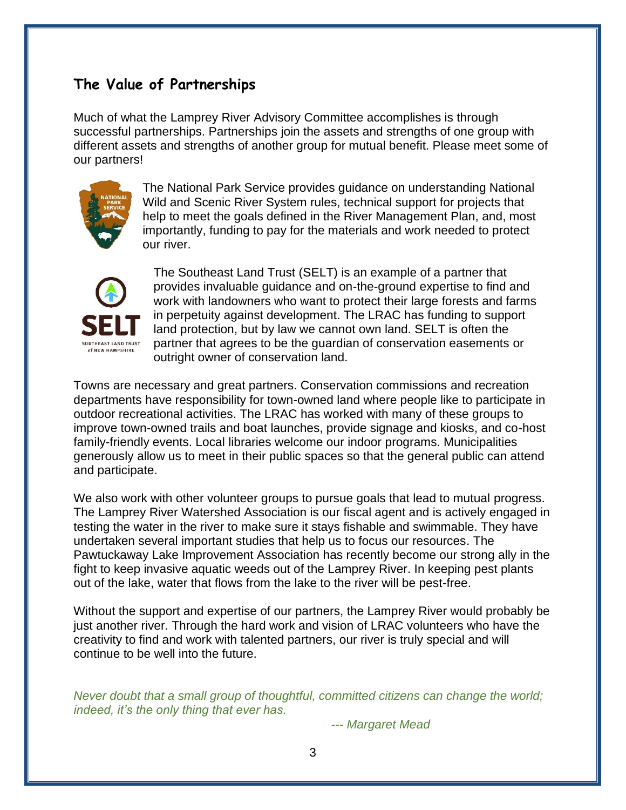#### **The Value of Partnerships**

Much of what the Lamprey River Advisory Committee accomplishes is through successful partnerships. Partnerships join the assets and strengths of one group with different assets and strengths of another group for mutual benefit. Please meet some of our partners!



The National Park Service provides guidance on understanding National Wild and Scenic River System rules, technical support for projects that help to meet the goals defined in the River Management Plan, and, most importantly, funding to pay for the materials and work needed to protect our river.



The Southeast Land Trust (SELT) is an example of a partner that provides invaluable guidance and on-the-ground expertise to find and work with landowners who want to protect their large forests and farms in perpetuity against development. The LRAC has funding to support land protection, but by law we cannot own land. SELT is often the partner that agrees to be the guardian of conservation easements or outright owner of conservation land.

Towns are necessary and great partners. Conservation commissions and recreation departments have responsibility for town-owned land where people like to participate in outdoor recreational activities. The LRAC has worked with many of these groups to improve town-owned trails and boat launches, provide signage and kiosks, and co-host family-friendly events. Local libraries welcome our indoor programs. Municipalities generously allow us to meet in their public spaces so that the general public can attend and participate.

We also work with other volunteer groups to pursue goals that lead to mutual progress. The Lamprey River Watershed Association is our fiscal agent and is actively engaged in testing the water in the river to make sure it stays fishable and swimmable. They have undertaken several important studies that help us to focus our resources. The Pawtuckaway Lake Improvement Association has recently become our strong ally in the fight to keep invasive aquatic weeds out of the Lamprey River. In keeping pest plants out of the lake, water that flows from the lake to the river will be pest-free.

Without the support and expertise of our partners, the Lamprey River would probably be just another river. Through the hard work and vision of LRAC volunteers who have the creativity to find and work with talented partners, our river is truly special and will continue to be well into the future.

*Never doubt that a small group of thoughtful, committed citizens can change the world; indeed, it's the only thing that ever has.*

*--- Margaret Mead*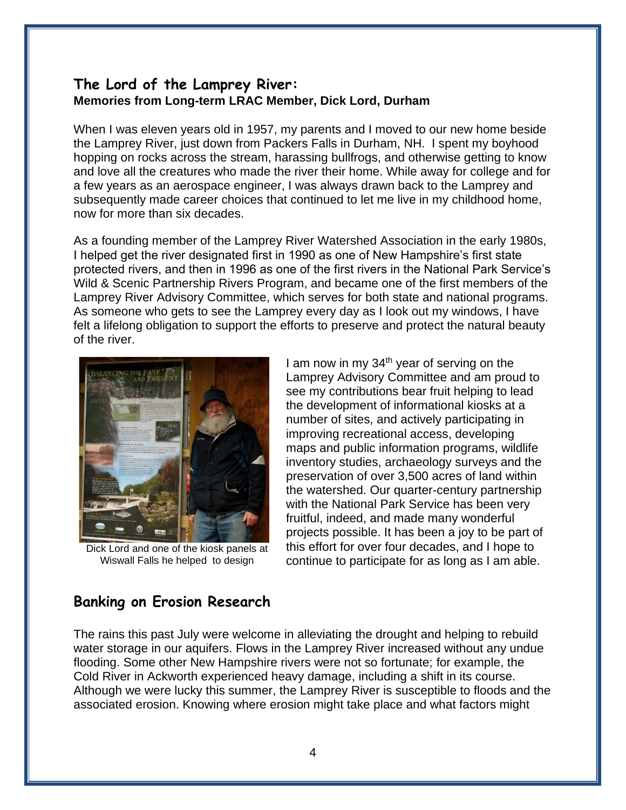#### **The Lord of the Lamprey River: Memories from Long-term LRAC Member, Dick Lord, Durham**

When I was eleven years old in 1957, my parents and I moved to our new home beside the Lamprey River, just down from Packers Falls in Durham, NH. I spent my boyhood hopping on rocks across the stream, harassing bullfrogs, and otherwise getting to know and love all the creatures who made the river their home. While away for college and for a few years as an aerospace engineer, I was always drawn back to the Lamprey and subsequently made career choices that continued to let me live in my childhood home, now for more than six decades.

As a founding member of the Lamprey River Watershed Association in the early 1980s, I helped get the river designated first in 1990 as one of New Hampshire's first state protected rivers, and then in 1996 as one of the first rivers in the National Park Service's Wild & Scenic Partnership Rivers Program, and became one of the first members of the Lamprey River Advisory Committee, which serves for both state and national programs. As someone who gets to see the Lamprey every day as I look out my windows, I have felt a lifelong obligation to support the efforts to preserve and protect the natural beauty of the river.



Dick Lord and one of the kiosk panels at Wiswall Falls he helped to design

I am now in my  $34<sup>th</sup>$  year of serving on the Lamprey Advisory Committee and am proud to see my contributions bear fruit helping to lead the development of informational kiosks at a number of sites, and actively participating in improving recreational access, developing maps and public information programs, wildlife inventory studies, archaeology surveys and the preservation of over 3,500 acres of land within the watershed. Our quarter-century partnership with the National Park Service has been very fruitful, indeed, and made many wonderful projects possible. It has been a joy to be part of this effort for over four decades, and I hope to continue to participate for as long as I am able.

#### **Banking on Erosion Research**

The rains this past July were welcome in alleviating the drought and helping to rebuild water storage in our aquifers. Flows in the Lamprey River increased without any undue flooding. Some other New Hampshire rivers were not so fortunate; for example, the Cold River in Ackworth experienced heavy damage, including a shift in its course. Although we were lucky this summer, the Lamprey River is susceptible to floods and the associated erosion. Knowing where erosion might take place and what factors might